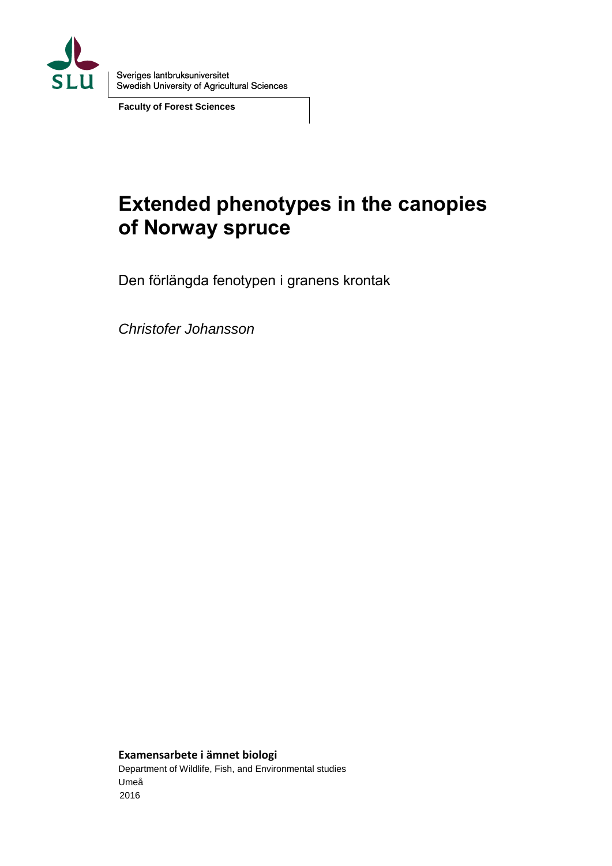

Sveriges lantbruksuniversitet Swedish University of Agricultural Sciences

**Faculty of Forest Sciences**

# **Extended phenotypes in the canopies of Norway spruce**

Den förlängda fenotypen i granens krontak

*Christofer Johansson* 

**Examensarbete i ämnet biologi**

Department of Wildlife, Fish, and Environmental studies Umeå 2016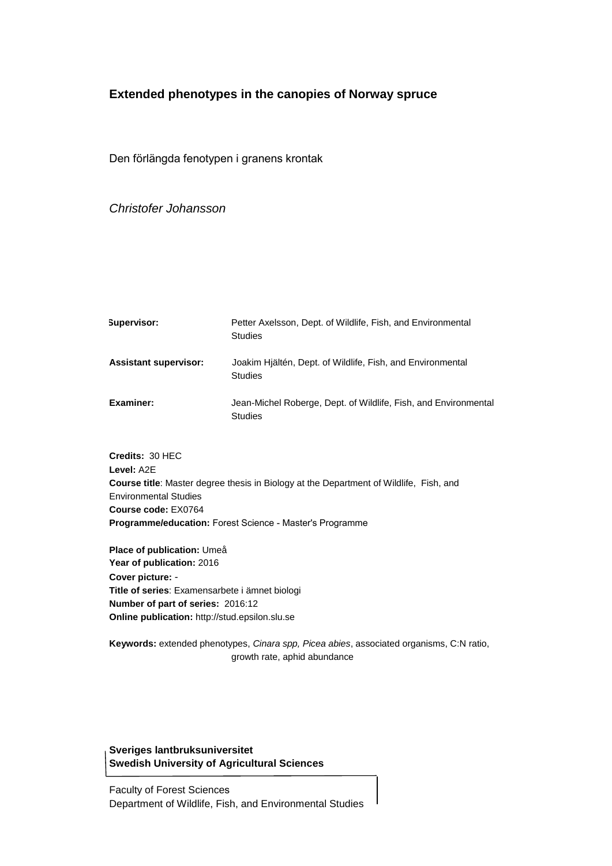#### **Extended phenotypes in the canopies of Norway spruce**

Den förlängda fenotypen i granens krontak

*Christofer Johansson*

| Supervisor:                  | Petter Axelsson, Dept. of Wildlife, Fish, and Environmental<br><b>Studies</b>     |
|------------------------------|-----------------------------------------------------------------------------------|
| <b>Assistant supervisor:</b> | Joakim Hiältén, Dept. of Wildlife, Fish, and Environmental<br><b>Studies</b>      |
| Examiner:                    | Jean-Michel Roberge, Dept. of Wildlife, Fish, and Environmental<br><b>Studies</b> |

**Credits:** 30 HEC **Level:** A2E **Course title**: Master degree thesis in Biology at the Department of Wildlife, Fish, and Environmental Studies **Course code:** EX0764 **Programme/education:** Forest Science - Master's Programme

**Place of publication:** Umeå **Year of publication:** 2016 **Cover picture:** - **Title of series**: Examensarbete i ämnet biologi **Number of part of series:** 2016:12 **Online publication:** http://stud.epsilon.slu.se

**Keywords:** extended phenotypes, *Cinara spp, Picea abies*, associated organisms, C:N ratio, growth rate, aphid abundance

#### **Sveriges lantbruksuniversitet Swedish University of Agricultural Sciences**

Faculty of Forest Sciences Department of Wildlife, Fish, and Environmental Studies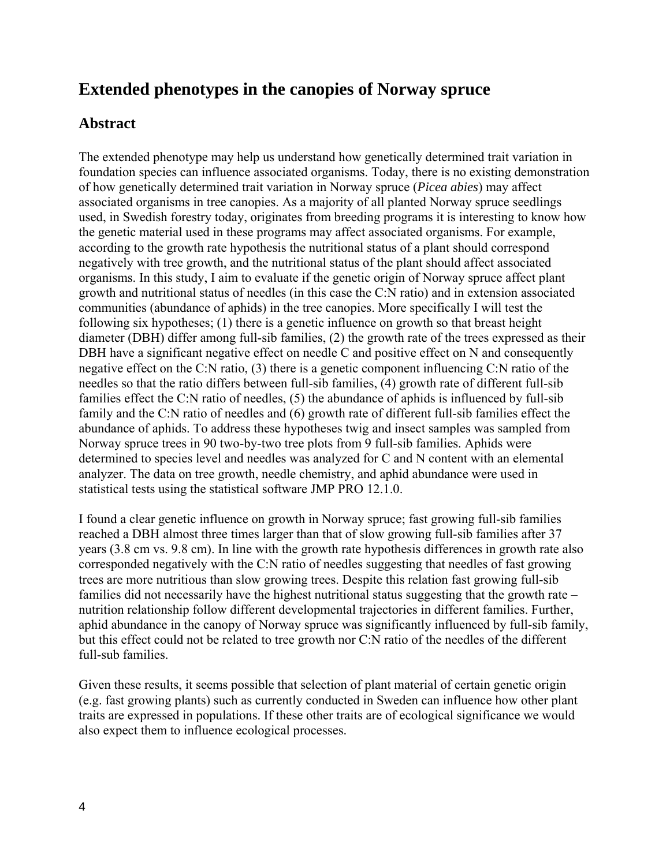## **Extended phenotypes in the canopies of Norway spruce**

## **Abstract**

The extended phenotype may help us understand how genetically determined trait variation in foundation species can influence associated organisms. Today, there is no existing demonstration of how genetically determined trait variation in Norway spruce (*Picea abies*) may affect associated organisms in tree canopies. As a majority of all planted Norway spruce seedlings used, in Swedish forestry today, originates from breeding programs it is interesting to know how the genetic material used in these programs may affect associated organisms. For example, according to the growth rate hypothesis the nutritional status of a plant should correspond negatively with tree growth, and the nutritional status of the plant should affect associated organisms. In this study, I aim to evaluate if the genetic origin of Norway spruce affect plant growth and nutritional status of needles (in this case the C:N ratio) and in extension associated communities (abundance of aphids) in the tree canopies. More specifically I will test the following six hypotheses; (1) there is a genetic influence on growth so that breast height diameter (DBH) differ among full-sib families, (2) the growth rate of the trees expressed as their DBH have a significant negative effect on needle C and positive effect on N and consequently negative effect on the C:N ratio, (3) there is a genetic component influencing C:N ratio of the needles so that the ratio differs between full-sib families, (4) growth rate of different full-sib families effect the C:N ratio of needles, (5) the abundance of aphids is influenced by full-sib family and the C:N ratio of needles and (6) growth rate of different full-sib families effect the abundance of aphids. To address these hypotheses twig and insect samples was sampled from Norway spruce trees in 90 two-by-two tree plots from 9 full-sib families. Aphids were determined to species level and needles was analyzed for C and N content with an elemental analyzer. The data on tree growth, needle chemistry, and aphid abundance were used in statistical tests using the statistical software JMP PRO 12.1.0.

I found a clear genetic influence on growth in Norway spruce; fast growing full-sib families reached a DBH almost three times larger than that of slow growing full-sib families after 37 years (3.8 cm vs. 9.8 cm). In line with the growth rate hypothesis differences in growth rate also corresponded negatively with the C:N ratio of needles suggesting that needles of fast growing trees are more nutritious than slow growing trees. Despite this relation fast growing full-sib families did not necessarily have the highest nutritional status suggesting that the growth rate – nutrition relationship follow different developmental trajectories in different families. Further, aphid abundance in the canopy of Norway spruce was significantly influenced by full-sib family, but this effect could not be related to tree growth nor C:N ratio of the needles of the different full-sub families.

Given these results, it seems possible that selection of plant material of certain genetic origin (e.g. fast growing plants) such as currently conducted in Sweden can influence how other plant traits are expressed in populations. If these other traits are of ecological significance we would also expect them to influence ecological processes.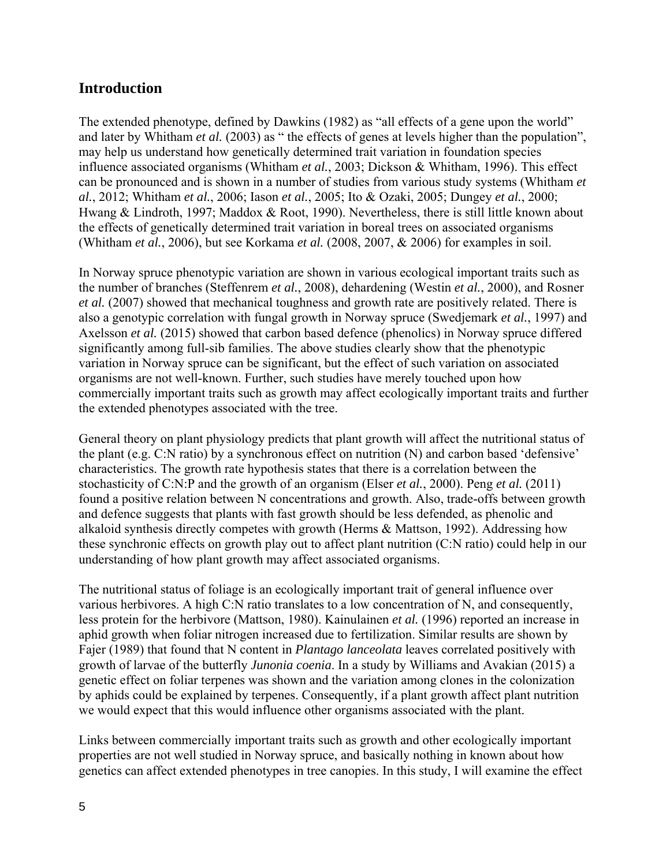### **Introduction**

The extended phenotype, defined by Dawkins (1982) as "all effects of a gene upon the world" and later by Whitham *et al.* (2003) as " the effects of genes at levels higher than the population", may help us understand how genetically determined trait variation in foundation species influence associated organisms (Whitham *et al.*, 2003; Dickson & Whitham, 1996). This effect can be pronounced and is shown in a number of studies from various study systems (Whitham *et al.*, 2012; Whitham *et al.*, 2006; Iason *et al.*, 2005; Ito & Ozaki, 2005; Dungey *et al.*, 2000; Hwang & Lindroth, 1997; Maddox & Root, 1990). Nevertheless, there is still little known about the effects of genetically determined trait variation in boreal trees on associated organisms (Whitham *et al.*, 2006), but see Korkama *et al.* (2008, 2007, & 2006) for examples in soil.

In Norway spruce phenotypic variation are shown in various ecological important traits such as the number of branches (Steffenrem *et al.*, 2008), dehardening (Westin *et al.*, 2000), and Rosner *et al.* (2007) showed that mechanical toughness and growth rate are positively related. There is also a genotypic correlation with fungal growth in Norway spruce (Swedjemark *et al.*, 1997) and Axelsson *et al.* (2015) showed that carbon based defence (phenolics) in Norway spruce differed significantly among full-sib families. The above studies clearly show that the phenotypic variation in Norway spruce can be significant, but the effect of such variation on associated organisms are not well-known. Further, such studies have merely touched upon how commercially important traits such as growth may affect ecologically important traits and further the extended phenotypes associated with the tree.

General theory on plant physiology predicts that plant growth will affect the nutritional status of the plant (e.g. C:N ratio) by a synchronous effect on nutrition (N) and carbon based 'defensive' characteristics. The growth rate hypothesis states that there is a correlation between the stochasticity of C:N:P and the growth of an organism (Elser *et al.*, 2000). Peng *et al.* (2011) found a positive relation between N concentrations and growth. Also, trade-offs between growth and defence suggests that plants with fast growth should be less defended, as phenolic and alkaloid synthesis directly competes with growth (Herms & Mattson, 1992). Addressing how these synchronic effects on growth play out to affect plant nutrition (C:N ratio) could help in our understanding of how plant growth may affect associated organisms.

The nutritional status of foliage is an ecologically important trait of general influence over various herbivores. A high C:N ratio translates to a low concentration of N, and consequently, less protein for the herbivore (Mattson, 1980). Kainulainen *et al.* (1996) reported an increase in aphid growth when foliar nitrogen increased due to fertilization. Similar results are shown by Fajer (1989) that found that N content in *Plantago lanceolata* leaves correlated positively with growth of larvae of the butterfly *Junonia coenia*. In a study by Williams and Avakian (2015) a genetic effect on foliar terpenes was shown and the variation among clones in the colonization by aphids could be explained by terpenes. Consequently, if a plant growth affect plant nutrition we would expect that this would influence other organisms associated with the plant.

Links between commercially important traits such as growth and other ecologically important properties are not well studied in Norway spruce, and basically nothing in known about how genetics can affect extended phenotypes in tree canopies. In this study, I will examine the effect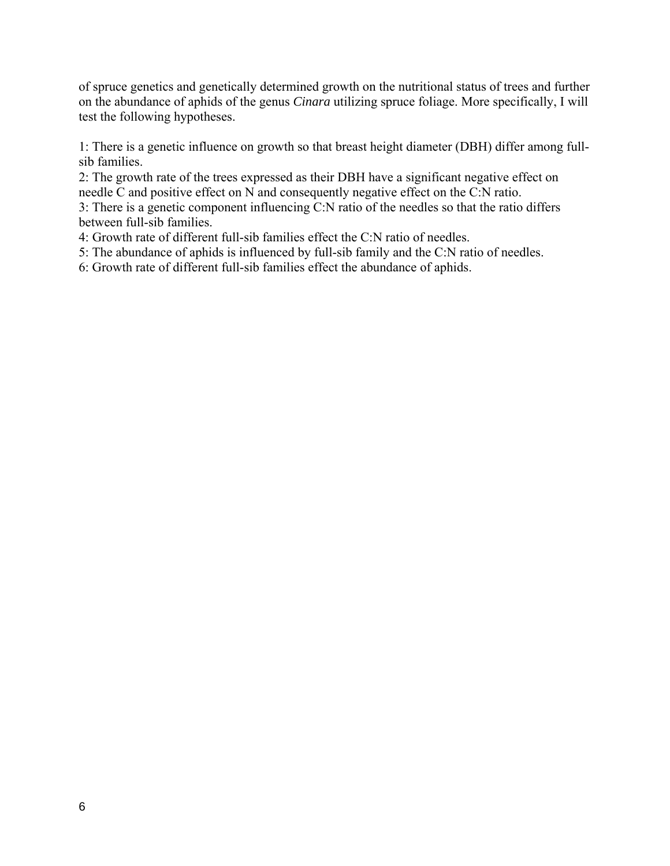of spruce genetics and genetically determined growth on the nutritional status of trees and further on the abundance of aphids of the genus *Cinara* utilizing spruce foliage. More specifically, I will test the following hypotheses.

1: There is a genetic influence on growth so that breast height diameter (DBH) differ among fullsib families.

2: The growth rate of the trees expressed as their DBH have a significant negative effect on needle C and positive effect on N and consequently negative effect on the C:N ratio.

3: There is a genetic component influencing C:N ratio of the needles so that the ratio differs between full-sib families.

4: Growth rate of different full-sib families effect the C:N ratio of needles.

5: The abundance of aphids is influenced by full-sib family and the C:N ratio of needles.

6: Growth rate of different full-sib families effect the abundance of aphids.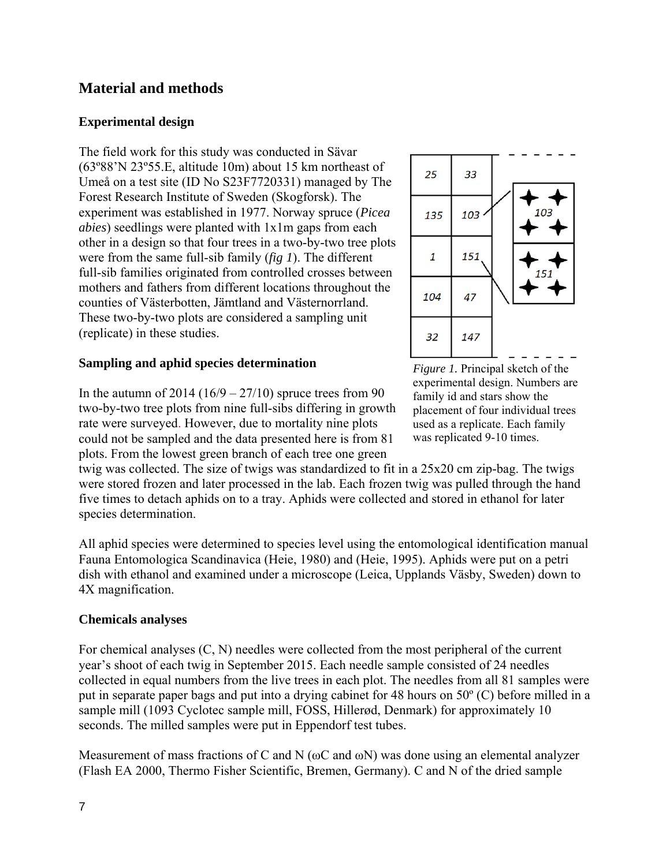## **Material and methods**

#### **Experimental design**

The field work for this study was conducted in Sävar (63º88'N 23º55.E, altitude 10m) about 15 km northeast of Umeå on a test site (ID No S23F7720331) managed by The Forest Research Institute of Sweden (Skogforsk). The experiment was established in 1977. Norway spruce (*Picea abies*) seedlings were planted with 1x1m gaps from each other in a design so that four trees in a two-by-two tree plots were from the same full-sib family (*fig 1*). The different full-sib families originated from controlled crosses between mothers and fathers from different locations throughout the counties of Västerbotten, Jämtland and Västernorrland. These two-by-two plots are considered a sampling unit (replicate) in these studies.

#### **Sampling and aphid species determination**





*Figure 1.* Principal sketch of the experimental design. Numbers are family id and stars show the placement of four individual trees used as a replicate. Each family was replicated 9-10 times.

twig was collected. The size of twigs was standardized to fit in a 25x20 cm zip-bag. The twigs were stored frozen and later processed in the lab. Each frozen twig was pulled through the hand five times to detach aphids on to a tray. Aphids were collected and stored in ethanol for later species determination.

All aphid species were determined to species level using the entomological identification manual Fauna Entomologica Scandinavica (Heie, 1980) and (Heie, 1995). Aphids were put on a petri dish with ethanol and examined under a microscope (Leica, Upplands Väsby, Sweden) down to 4X magnification.

#### **Chemicals analyses**

For chemical analyses (C, N) needles were collected from the most peripheral of the current year's shoot of each twig in September 2015. Each needle sample consisted of 24 needles collected in equal numbers from the live trees in each plot. The needles from all 81 samples were put in separate paper bags and put into a drying cabinet for 48 hours on 50º (C) before milled in a sample mill (1093 Cyclotec sample mill, FOSS, Hillerød, Denmark) for approximately 10 seconds. The milled samples were put in Eppendorf test tubes.

Measurement of mass fractions of C and N ( $\omega$ C and  $\omega$ N) was done using an elemental analyzer (Flash EA 2000, Thermo Fisher Scientific, Bremen, Germany). C and N of the dried sample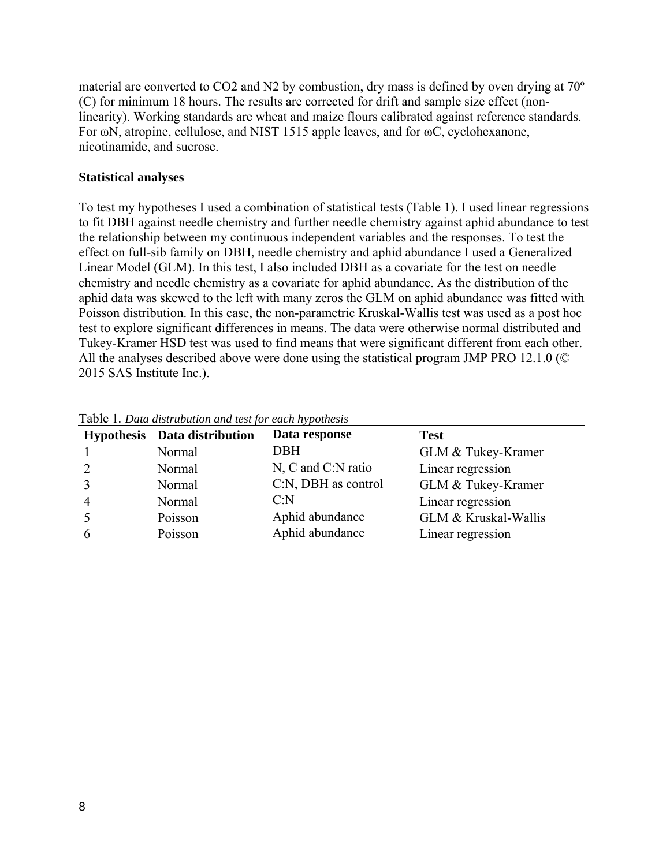material are converted to CO2 and N2 by combustion, dry mass is defined by oven drying at 70º (C) for minimum 18 hours. The results are corrected for drift and sample size effect (nonlinearity). Working standards are wheat and maize flours calibrated against reference standards. For ωN, atropine, cellulose, and NIST 1515 apple leaves, and for ωC, cyclohexanone, nicotinamide, and sucrose.

#### **Statistical analyses**

To test my hypotheses I used a combination of statistical tests (Table 1). I used linear regressions to fit DBH against needle chemistry and further needle chemistry against aphid abundance to test the relationship between my continuous independent variables and the responses. To test the effect on full-sib family on DBH, needle chemistry and aphid abundance I used a Generalized Linear Model (GLM). In this test, I also included DBH as a covariate for the test on needle chemistry and needle chemistry as a covariate for aphid abundance. As the distribution of the aphid data was skewed to the left with many zeros the GLM on aphid abundance was fitted with Poisson distribution. In this case, the non-parametric Kruskal-Wallis test was used as a post hoc test to explore significant differences in means. The data were otherwise normal distributed and Tukey-Kramer HSD test was used to find means that were significant different from each other. All the analyses described above were done using the statistical program JMP PRO 12.1.0 (© 2015 SAS Institute Inc.).

| Hypothesis Data distribution | $\sim$ 1<br>Data response | <b>Test</b>          |
|------------------------------|---------------------------|----------------------|
| Normal                       | DBH                       | GLM & Tukey-Kramer   |
| Normal                       | N, C and C:N ratio        | Linear regression    |
| Normal                       | C:N, DBH as control       | GLM & Tukey-Kramer   |
| Normal                       | C: N                      | Linear regression    |
| Poisson                      | Aphid abundance           | GLM & Kruskal-Wallis |
| Poisson                      | Aphid abundance           | Linear regression    |

Table 1*. Data distrubution and test for each hypothesis*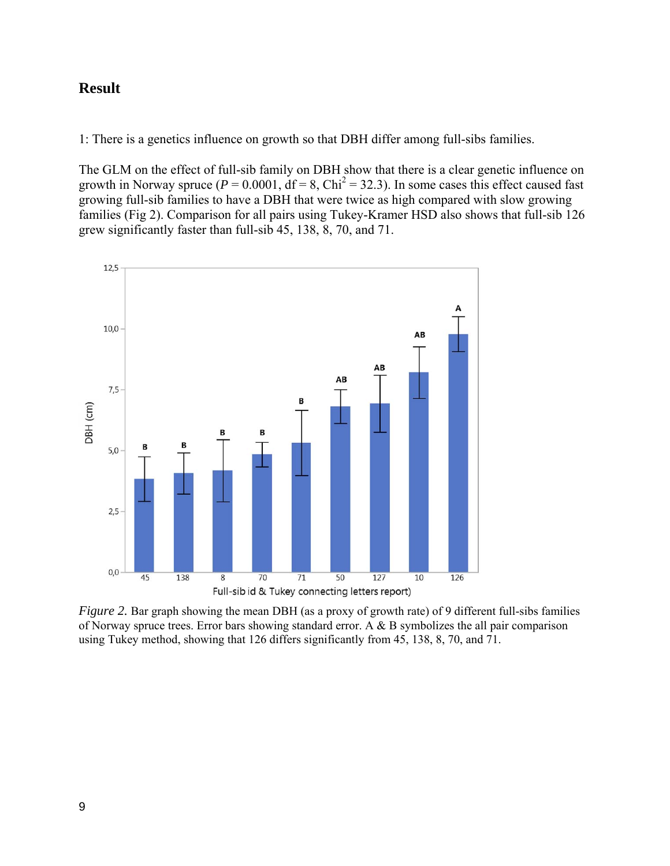## **Result**

1: There is a genetics influence on growth so that DBH differ among full-sibs families.

The GLM on the effect of full-sib family on DBH show that there is a clear genetic influence on growth in Norway spruce ( $P = 0.0001$ ,  $df = 8$ ,  $Chi^2 = 32.3$ ). In some cases this effect caused fast growing full-sib families to have a DBH that were twice as high compared with slow growing families (Fig 2). Comparison for all pairs using Tukey-Kramer HSD also shows that full-sib 126 grew significantly faster than full-sib 45, 138, 8, 70, and 71.



*Figure 2.* Bar graph showing the mean DBH (as a proxy of growth rate) of 9 different full-sibs families of Norway spruce trees. Error bars showing standard error. A & B symbolizes the all pair comparison using Tukey method, showing that 126 differs significantly from 45, 138, 8, 70, and 71.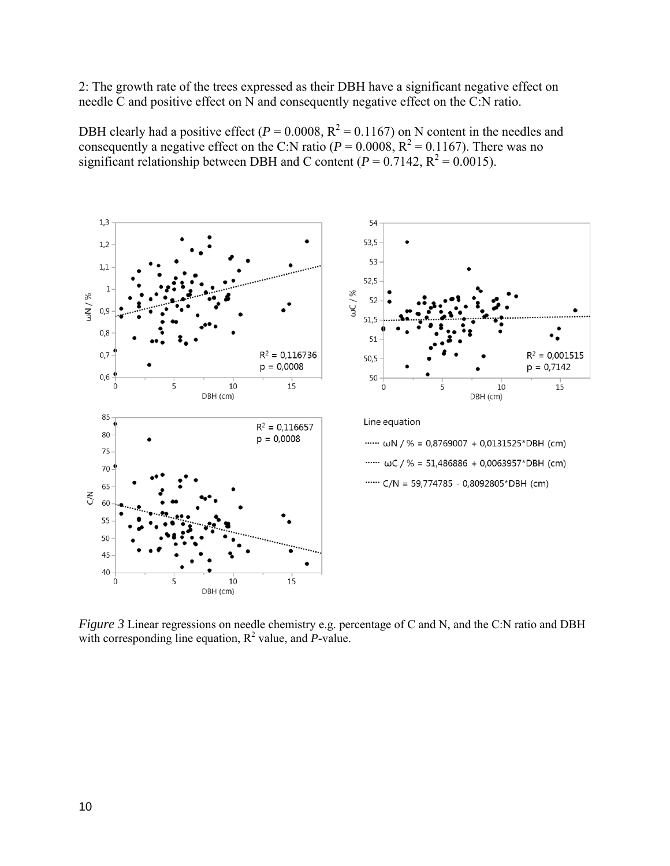2: The growth rate of the trees expressed as their DBH have a significant negative effect on needle C and positive effect on N and consequently negative effect on the C:N ratio.

DBH clearly had a positive effect ( $P = 0.0008$ ,  $R^2 = 0.1167$ ) on N content in the needles and consequently a negative effect on the C:N ratio ( $P = 0.0008$ ,  $R^2 = 0.1167$ ). There was no significant relationship between DBH and C content ( $P = 0.7142$ ,  $R^2 = 0.0015$ ).



*Figure 3* Linear regressions on needle chemistry e.g. percentage of C and N, and the C:N ratio and DBH with corresponding line equation,  $R^2$  value, and *P*-value.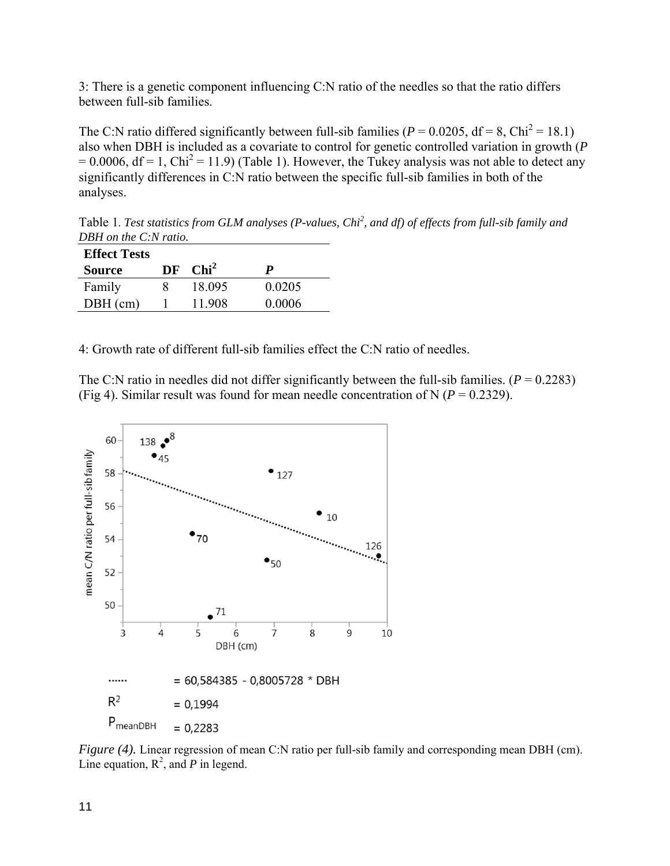3: There is a genetic component influencing C:N ratio of the needles so that the ratio differs between full-sib families.

The C:N ratio differed significantly between full-sib families ( $P = 0.0205$ , df = 8, Chi<sup>2</sup> = 18.1) also when DBH is included as a covariate to control for genetic controlled variation in growth (*P*   $= 0.0006$ , df = 1, Chi<sup>2</sup> = 11.9) (Table 1). However, the Tukey analysis was not able to detect any significantly differences in C:N ratio between the specific full-sib families in both of the analyses.

Table 1*. Test statistics from GLM analyses (P-values, Chi<sup>2</sup> , and df) of effects from full-sib family and DBH on the C:N ratio.*

| <b>Effect Tests</b> |    |         |        |
|---------------------|----|---------|--------|
| <b>Source</b>       | DF | $Chi^2$ | P      |
| Family              |    | 18 095  | 0.0205 |
| $DBH$ (cm)          |    | 11 908  | 0.0006 |

4: Growth rate of different full-sib families effect the C:N ratio of needles.

The C:N ratio in needles did not differ significantly between the full-sib families.  $(P = 0.2283)$ (Fig 4). Similar result was found for mean needle concentration of N ( $P = 0.2329$ ).



*Figure (4).* Linear regression of mean C:N ratio per full-sib family and corresponding mean DBH (cm). Line equation,  $R^2$ , and *P* in legend.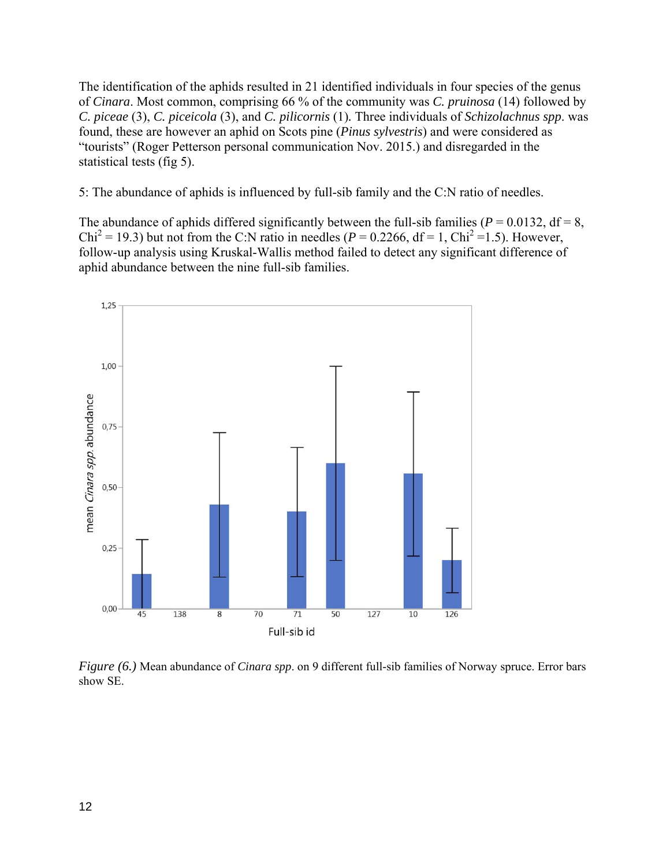The identification of the aphids resulted in 21 identified individuals in four species of the genus of *Cinara*. Most common, comprising 66 % of the community was *C. pruinosa* (14) followed by *C. piceae* (3), *C. piceicola* (3), and *C. pilicornis* (1)*.* Three individuals of *Schizolachnus spp*. was found, these are however an aphid on Scots pine (*Pinus sylvestris*) and were considered as "tourists" (Roger Petterson personal communication Nov. 2015.) and disregarded in the statistical tests (fig 5).

5: The abundance of aphids is influenced by full-sib family and the C:N ratio of needles.

The abundance of aphids differed significantly between the full-sib families ( $P = 0.0132$ , df = 8,  $Chi^2 = 19.3$ ) but not from the C:N ratio in needles ( $P = 0.2266$ , df = 1, Chi<sup>2</sup> = 1.5). However, follow-up analysis using Kruskal-Wallis method failed to detect any significant difference of aphid abundance between the nine full-sib families.



*Figure (6.)* Mean abundance of *Cinara spp*. on 9 different full-sib families of Norway spruce. Error bars show SE.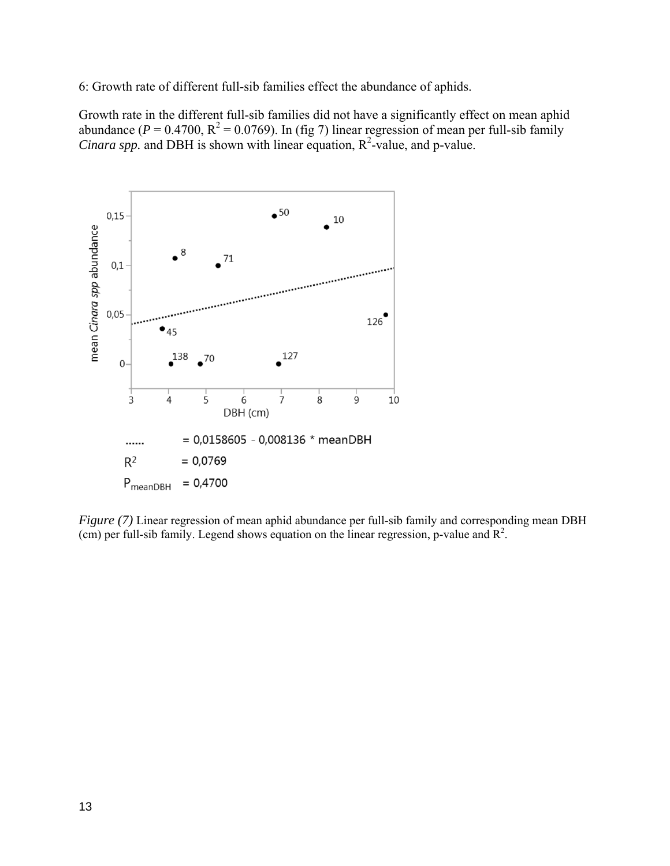6: Growth rate of different full-sib families effect the abundance of aphids.

Growth rate in the different full-sib families did not have a significantly effect on mean aphid abundance ( $P = 0.4700$ ,  $R^2 = 0.0769$ ). In (fig 7) linear regression of mean per full-sib family *Cinara spp.* and DBH is shown with linear equation,  $R^2$ -value, and p-value.



*Figure (7)* Linear regression of mean aphid abundance per full-sib family and corresponding mean DBH (cm) per full-sib family. Legend shows equation on the linear regression, p-value and  $\mathbb{R}^2$ .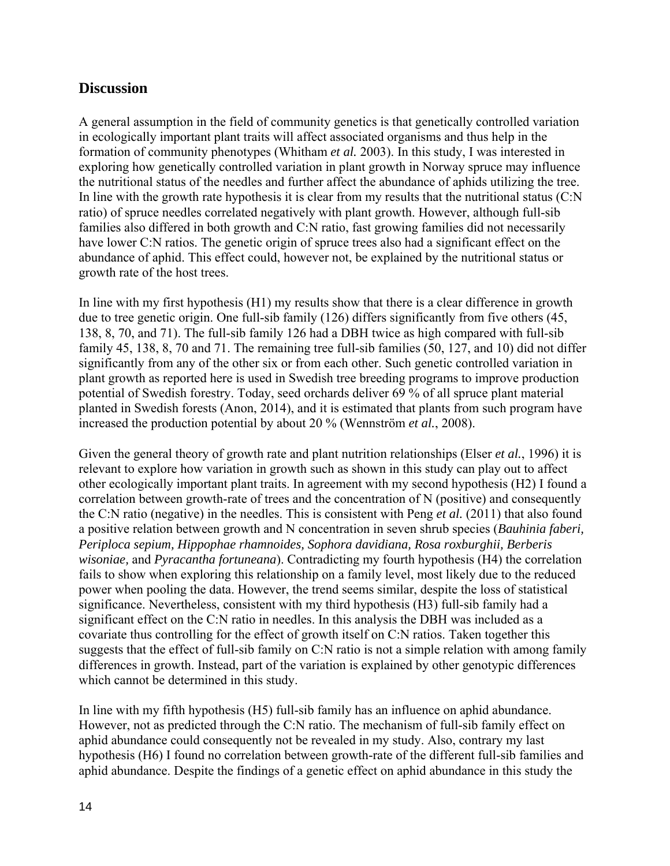#### **Discussion**

A general assumption in the field of community genetics is that genetically controlled variation in ecologically important plant traits will affect associated organisms and thus help in the formation of community phenotypes (Whitham *et al.* 2003). In this study, I was interested in exploring how genetically controlled variation in plant growth in Norway spruce may influence the nutritional status of the needles and further affect the abundance of aphids utilizing the tree. In line with the growth rate hypothesis it is clear from my results that the nutritional status (C:N) ratio) of spruce needles correlated negatively with plant growth. However, although full-sib families also differed in both growth and C:N ratio, fast growing families did not necessarily have lower C:N ratios. The genetic origin of spruce trees also had a significant effect on the abundance of aphid. This effect could, however not, be explained by the nutritional status or growth rate of the host trees.

In line with my first hypothesis (H1) my results show that there is a clear difference in growth due to tree genetic origin. One full-sib family (126) differs significantly from five others (45, 138, 8, 70, and 71). The full-sib family 126 had a DBH twice as high compared with full-sib family 45, 138, 8, 70 and 71. The remaining tree full-sib families (50, 127, and 10) did not differ significantly from any of the other six or from each other. Such genetic controlled variation in plant growth as reported here is used in Swedish tree breeding programs to improve production potential of Swedish forestry. Today, seed orchards deliver 69 % of all spruce plant material planted in Swedish forests (Anon, 2014), and it is estimated that plants from such program have increased the production potential by about 20 % (Wennström *et al.*, 2008).

Given the general theory of growth rate and plant nutrition relationships (Elser *et al.*, 1996) it is relevant to explore how variation in growth such as shown in this study can play out to affect other ecologically important plant traits. In agreement with my second hypothesis (H2) I found a correlation between growth-rate of trees and the concentration of N (positive) and consequently the C:N ratio (negative) in the needles. This is consistent with Peng *et al.* (2011) that also found a positive relation between growth and N concentration in seven shrub species (*Bauhinia faberi, Periploca sepium, Hippophae rhamnoides, Sophora davidiana, Rosa roxburghii, Berberis wisoniae,* and *Pyracantha fortuneana*). Contradicting my fourth hypothesis (H4) the correlation fails to show when exploring this relationship on a family level, most likely due to the reduced power when pooling the data. However, the trend seems similar, despite the loss of statistical significance. Nevertheless, consistent with my third hypothesis (H3) full-sib family had a significant effect on the C:N ratio in needles. In this analysis the DBH was included as a covariate thus controlling for the effect of growth itself on C:N ratios. Taken together this suggests that the effect of full-sib family on C:N ratio is not a simple relation with among family differences in growth. Instead, part of the variation is explained by other genotypic differences which cannot be determined in this study.

In line with my fifth hypothesis (H5) full-sib family has an influence on aphid abundance. However, not as predicted through the C:N ratio. The mechanism of full-sib family effect on aphid abundance could consequently not be revealed in my study. Also, contrary my last hypothesis (H6) I found no correlation between growth-rate of the different full-sib families and aphid abundance. Despite the findings of a genetic effect on aphid abundance in this study the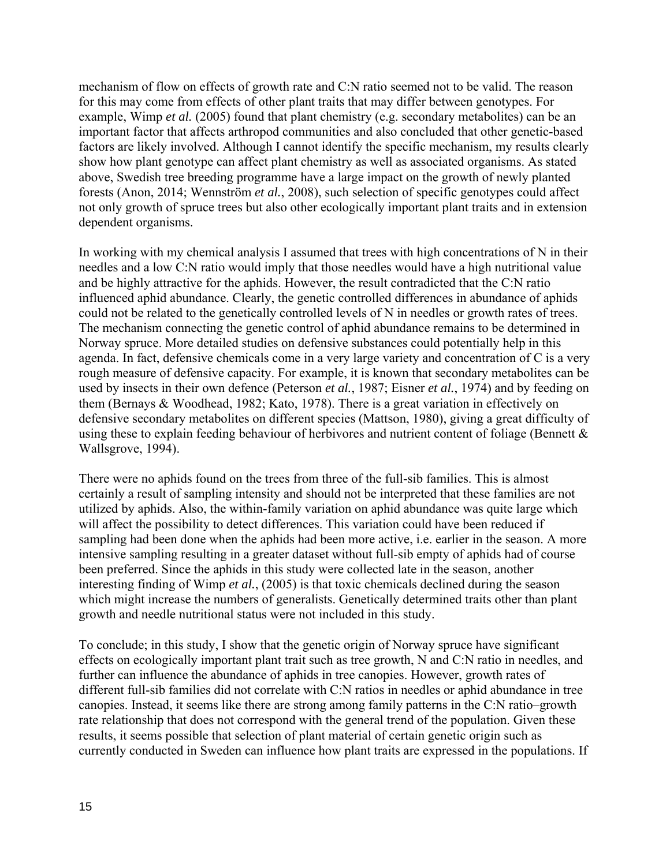mechanism of flow on effects of growth rate and C:N ratio seemed not to be valid. The reason for this may come from effects of other plant traits that may differ between genotypes. For example, Wimp *et al.* (2005) found that plant chemistry (e.g. secondary metabolites) can be an important factor that affects arthropod communities and also concluded that other genetic-based factors are likely involved. Although I cannot identify the specific mechanism, my results clearly show how plant genotype can affect plant chemistry as well as associated organisms. As stated above, Swedish tree breeding programme have a large impact on the growth of newly planted forests (Anon, 2014; Wennström *et al.*, 2008), such selection of specific genotypes could affect not only growth of spruce trees but also other ecologically important plant traits and in extension dependent organisms.

In working with my chemical analysis I assumed that trees with high concentrations of N in their needles and a low C:N ratio would imply that those needles would have a high nutritional value and be highly attractive for the aphids. However, the result contradicted that the C:N ratio influenced aphid abundance. Clearly, the genetic controlled differences in abundance of aphids could not be related to the genetically controlled levels of N in needles or growth rates of trees. The mechanism connecting the genetic control of aphid abundance remains to be determined in Norway spruce. More detailed studies on defensive substances could potentially help in this agenda. In fact, defensive chemicals come in a very large variety and concentration of C is a very rough measure of defensive capacity. For example, it is known that secondary metabolites can be used by insects in their own defence (Peterson *et al.*, 1987; Eisner *et al.*, 1974) and by feeding on them (Bernays & Woodhead, 1982; Kato, 1978). There is a great variation in effectively on defensive secondary metabolites on different species (Mattson, 1980), giving a great difficulty of using these to explain feeding behaviour of herbivores and nutrient content of foliage (Bennett & Wallsgrove, 1994).

There were no aphids found on the trees from three of the full-sib families. This is almost certainly a result of sampling intensity and should not be interpreted that these families are not utilized by aphids. Also, the within-family variation on aphid abundance was quite large which will affect the possibility to detect differences. This variation could have been reduced if sampling had been done when the aphids had been more active, i.e. earlier in the season. A more intensive sampling resulting in a greater dataset without full-sib empty of aphids had of course been preferred. Since the aphids in this study were collected late in the season, another interesting finding of Wimp *et al.*, (2005) is that toxic chemicals declined during the season which might increase the numbers of generalists. Genetically determined traits other than plant growth and needle nutritional status were not included in this study.

To conclude; in this study, I show that the genetic origin of Norway spruce have significant effects on ecologically important plant trait such as tree growth, N and C:N ratio in needles, and further can influence the abundance of aphids in tree canopies. However, growth rates of different full-sib families did not correlate with C:N ratios in needles or aphid abundance in tree canopies. Instead, it seems like there are strong among family patterns in the C:N ratio–growth rate relationship that does not correspond with the general trend of the population. Given these results, it seems possible that selection of plant material of certain genetic origin such as currently conducted in Sweden can influence how plant traits are expressed in the populations. If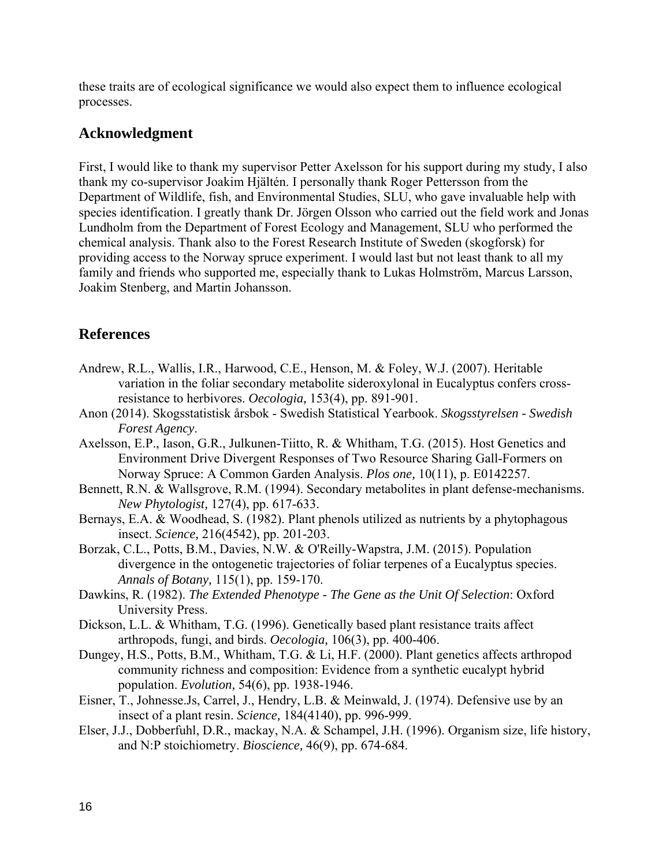these traits are of ecological significance we would also expect them to influence ecological processes.

## **Acknowledgment**

First, I would like to thank my supervisor Petter Axelsson for his support during my study, I also thank my co-supervisor Joakim Hjältén. I personally thank Roger Pettersson from the Department of Wildlife, fish, and Environmental Studies, SLU, who gave invaluable help with species identification. I greatly thank Dr. Jörgen Olsson who carried out the field work and Jonas Lundholm from the Department of Forest Ecology and Management, SLU who performed the chemical analysis. Thank also to the Forest Research Institute of Sweden (skogforsk) for providing access to the Norway spruce experiment. I would last but not least thank to all my family and friends who supported me, especially thank to Lukas Holmström, Marcus Larsson, Joakim Stenberg, and Martin Johansson.

## **References**

- Andrew, R.L., Wallis, I.R., Harwood, C.E., Henson, M. & Foley, W.J. (2007). Heritable variation in the foliar secondary metabolite sideroxylonal in Eucalyptus confers crossresistance to herbivores. *Oecologia,* 153(4), pp. 891-901.
- Anon (2014). Skogsstatistisk årsbok Swedish Statistical Yearbook. *Skogsstyrelsen Swedish Forest Agency*.
- Axelsson, E.P., Iason, G.R., Julkunen-Tiitto, R. & Whitham, T.G. (2015). Host Genetics and Environment Drive Divergent Responses of Two Resource Sharing Gall-Formers on Norway Spruce: A Common Garden Analysis. *Plos one,* 10(11), p. E0142257.
- Bennett, R.N. & Wallsgrove, R.M. (1994). Secondary metabolites in plant defense-mechanisms. *New Phytologist,* 127(4), pp. 617-633.
- Bernays, E.A. & Woodhead, S. (1982). Plant phenols utilized as nutrients by a phytophagous insect. *Science,* 216(4542), pp. 201-203.
- Borzak, C.L., Potts, B.M., Davies, N.W. & O'Reilly-Wapstra, J.M. (2015). Population divergence in the ontogenetic trajectories of foliar terpenes of a Eucalyptus species. *Annals of Botany,* 115(1), pp. 159-170.
- Dawkins, R. (1982). *The Extended Phenotype The Gene as the Unit Of Selection*: Oxford University Press.
- Dickson, L.L. & Whitham, T.G. (1996). Genetically based plant resistance traits affect arthropods, fungi, and birds. *Oecologia,* 106(3), pp. 400-406.
- Dungey, H.S., Potts, B.M., Whitham, T.G. & Li, H.F. (2000). Plant genetics affects arthropod community richness and composition: Evidence from a synthetic eucalypt hybrid population. *Evolution,* 54(6), pp. 1938-1946.
- Eisner, T., Johnesse.Js, Carrel, J., Hendry, L.B. & Meinwald, J. (1974). Defensive use by an insect of a plant resin. *Science,* 184(4140), pp. 996-999.
- Elser, J.J., Dobberfuhl, D.R., mackay, N.A. & Schampel, J.H. (1996). Organism size, life history, and N:P stoichiometry. *Bioscience,* 46(9), pp. 674-684.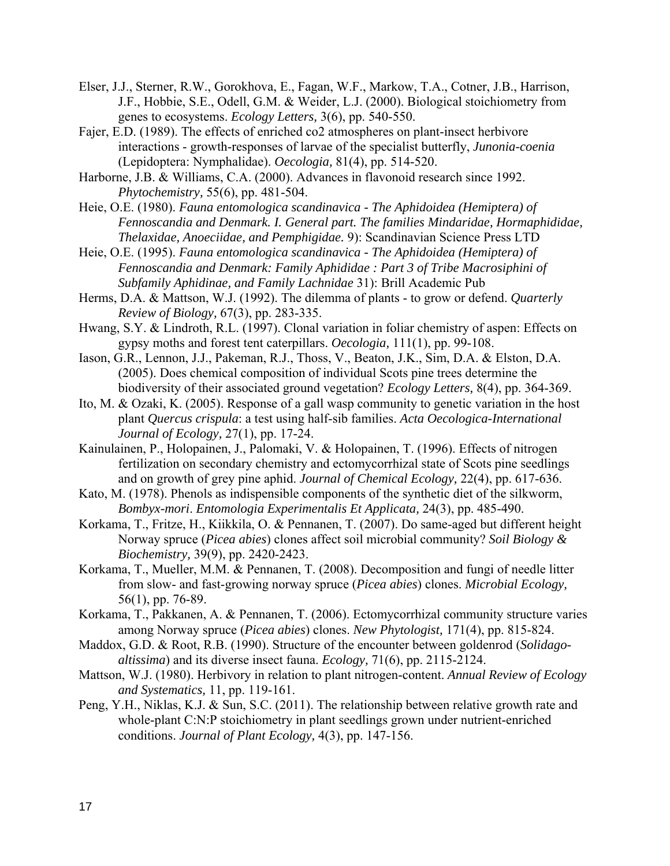- Elser, J.J., Sterner, R.W., Gorokhova, E., Fagan, W.F., Markow, T.A., Cotner, J.B., Harrison, J.F., Hobbie, S.E., Odell, G.M. & Weider, L.J. (2000). Biological stoichiometry from genes to ecosystems. *Ecology Letters,* 3(6), pp. 540-550.
- Fajer, E.D. (1989). The effects of enriched co2 atmospheres on plant-insect herbivore interactions - growth-responses of larvae of the specialist butterfly, *Junonia-coenia* (Lepidoptera: Nymphalidae). *Oecologia,* 81(4), pp. 514-520.
- Harborne, J.B. & Williams, C.A. (2000). Advances in flavonoid research since 1992. *Phytochemistry,* 55(6), pp. 481-504.
- Heie, O.E. (1980). *Fauna entomologica scandinavica The Aphidoidea (Hemiptera) of Fennoscandia and Denmark. I. General part. The families Mindaridae, Hormaphididae, Thelaxidae, Anoeciidae, and Pemphigidae.* 9): Scandinavian Science Press LTD
- Heie, O.E. (1995). *Fauna entomologica scandinavica The Aphidoidea (Hemiptera) of Fennoscandia and Denmark: Family Aphididae : Part 3 of Tribe Macrosiphini of Subfamily Aphidinae, and Family Lachnidae* 31): Brill Academic Pub
- Herms, D.A. & Mattson, W.J. (1992). The dilemma of plants to grow or defend. *Quarterly Review of Biology,* 67(3), pp. 283-335.
- Hwang, S.Y. & Lindroth, R.L. (1997). Clonal variation in foliar chemistry of aspen: Effects on gypsy moths and forest tent caterpillars. *Oecologia,* 111(1), pp. 99-108.
- Iason, G.R., Lennon, J.J., Pakeman, R.J., Thoss, V., Beaton, J.K., Sim, D.A. & Elston, D.A. (2005). Does chemical composition of individual Scots pine trees determine the biodiversity of their associated ground vegetation? *Ecology Letters,* 8(4), pp. 364-369.
- Ito, M. & Ozaki, K. (2005). Response of a gall wasp community to genetic variation in the host plant *Quercus crispula*: a test using half-sib families. *Acta Oecologica-International Journal of Ecology,* 27(1), pp. 17-24.
- Kainulainen, P., Holopainen, J., Palomaki, V. & Holopainen, T. (1996). Effects of nitrogen fertilization on secondary chemistry and ectomycorrhizal state of Scots pine seedlings and on growth of grey pine aphid. *Journal of Chemical Ecology,* 22(4), pp. 617-636.
- Kato, M. (1978). Phenols as indispensible components of the synthetic diet of the silkworm, *Bombyx-mori*. *Entomologia Experimentalis Et Applicata,* 24(3), pp. 485-490.
- Korkama, T., Fritze, H., Kiikkila, O. & Pennanen, T. (2007). Do same-aged but different height Norway spruce (*Picea abies*) clones affect soil microbial community? *Soil Biology & Biochemistry,* 39(9), pp. 2420-2423.
- Korkama, T., Mueller, M.M. & Pennanen, T. (2008). Decomposition and fungi of needle litter from slow- and fast-growing norway spruce (*Picea abies*) clones. *Microbial Ecology,*  56(1), pp. 76-89.
- Korkama, T., Pakkanen, A. & Pennanen, T. (2006). Ectomycorrhizal community structure varies among Norway spruce (*Picea abies*) clones. *New Phytologist,* 171(4), pp. 815-824.
- Maddox, G.D. & Root, R.B. (1990). Structure of the encounter between goldenrod (*Solidagoaltissima*) and its diverse insect fauna. *Ecology,* 71(6), pp. 2115-2124.
- Mattson, W.J. (1980). Herbivory in relation to plant nitrogen-content. *Annual Review of Ecology and Systematics,* 11, pp. 119-161.
- Peng, Y.H., Niklas, K.J. & Sun, S.C. (2011). The relationship between relative growth rate and whole-plant C:N:P stoichiometry in plant seedlings grown under nutrient-enriched conditions. *Journal of Plant Ecology,* 4(3), pp. 147-156.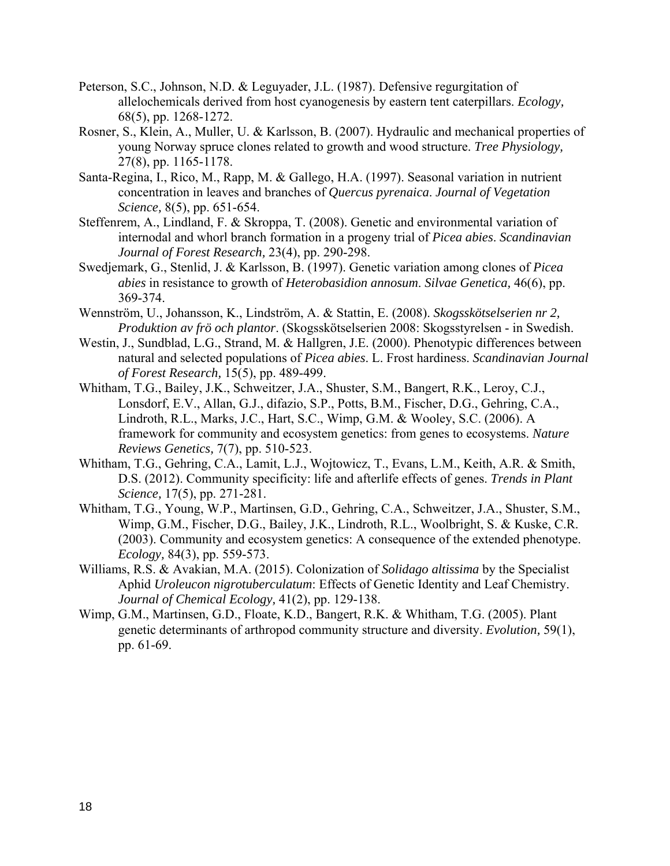- Peterson, S.C., Johnson, N.D. & Leguyader, J.L. (1987). Defensive regurgitation of allelochemicals derived from host cyanogenesis by eastern tent caterpillars. *Ecology,*  68(5), pp. 1268-1272.
- Rosner, S., Klein, A., Muller, U. & Karlsson, B. (2007). Hydraulic and mechanical properties of young Norway spruce clones related to growth and wood structure. *Tree Physiology,*  27(8), pp. 1165-1178.
- Santa-Regina, I., Rico, M., Rapp, M. & Gallego, H.A. (1997). Seasonal variation in nutrient concentration in leaves and branches of *Quercus pyrenaica*. *Journal of Vegetation Science,* 8(5), pp. 651-654.
- Steffenrem, A., Lindland, F. & Skroppa, T. (2008). Genetic and environmental variation of internodal and whorl branch formation in a progeny trial of *Picea abies*. *Scandinavian Journal of Forest Research,* 23(4), pp. 290-298.
- Swedjemark, G., Stenlid, J. & Karlsson, B. (1997). Genetic variation among clones of *Picea abies* in resistance to growth of *Heterobasidion annosum*. *Silvae Genetica,* 46(6), pp. 369-374.
- Wennström, U., Johansson, K., Lindström, A. & Stattin, E. (2008). *Skogsskötselserien nr 2, Produktion av frö och plantor*. (Skogsskötselserien 2008: Skogsstyrelsen - in Swedish.
- Westin, J., Sundblad, L.G., Strand, M. & Hallgren, J.E. (2000). Phenotypic differences between natural and selected populations of *Picea abies*. L. Frost hardiness. *Scandinavian Journal of Forest Research,* 15(5), pp. 489-499.
- Whitham, T.G., Bailey, J.K., Schweitzer, J.A., Shuster, S.M., Bangert, R.K., Leroy, C.J., Lonsdorf, E.V., Allan, G.J., difazio, S.P., Potts, B.M., Fischer, D.G., Gehring, C.A., Lindroth, R.L., Marks, J.C., Hart, S.C., Wimp, G.M. & Wooley, S.C. (2006). A framework for community and ecosystem genetics: from genes to ecosystems. *Nature Reviews Genetics,* 7(7), pp. 510-523.
- Whitham, T.G., Gehring, C.A., Lamit, L.J., Wojtowicz, T., Evans, L.M., Keith, A.R. & Smith, D.S. (2012). Community specificity: life and afterlife effects of genes. *Trends in Plant Science,* 17(5), pp. 271-281.
- Whitham, T.G., Young, W.P., Martinsen, G.D., Gehring, C.A., Schweitzer, J.A., Shuster, S.M., Wimp, G.M., Fischer, D.G., Bailey, J.K., Lindroth, R.L., Woolbright, S. & Kuske, C.R. (2003). Community and ecosystem genetics: A consequence of the extended phenotype. *Ecology,* 84(3), pp. 559-573.
- Williams, R.S. & Avakian, M.A. (2015). Colonization of *Solidago altissima* by the Specialist Aphid *Uroleucon nigrotuberculatum*: Effects of Genetic Identity and Leaf Chemistry. *Journal of Chemical Ecology,* 41(2), pp. 129-138.
- Wimp, G.M., Martinsen, G.D., Floate, K.D., Bangert, R.K. & Whitham, T.G. (2005). Plant genetic determinants of arthropod community structure and diversity. *Evolution,* 59(1), pp. 61-69.